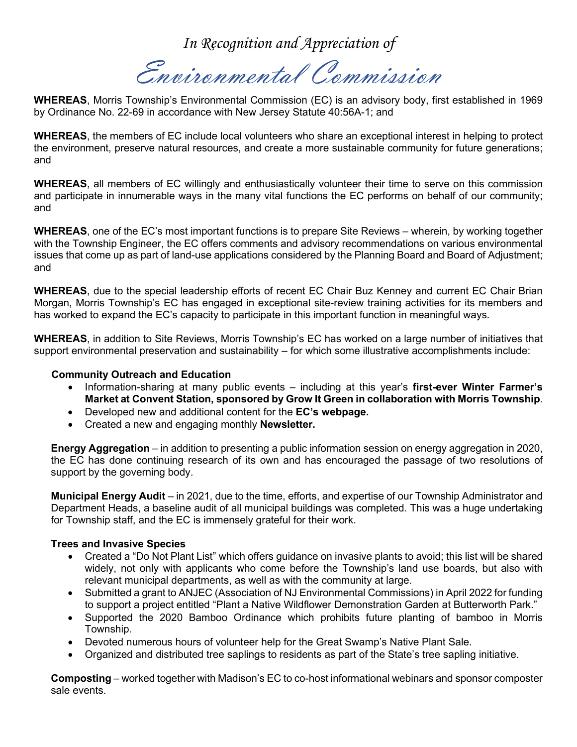*In Recognition and Appreciation of*

Environmental Commission

**WHEREAS**, Morris Township's Environmental Commission (EC) is an advisory body, first established in 1969 by Ordinance No. 22-69 in accordance with New Jersey Statute 40:56A-1; and

**WHEREAS**, the members of EC include local volunteers who share an exceptional interest in helping to protect the environment, preserve natural resources, and create a more sustainable community for future generations; and

**WHEREAS**, all members of EC willingly and enthusiastically volunteer their time to serve on this commission and participate in innumerable ways in the many vital functions the EC performs on behalf of our community; and

**WHEREAS**, one of the EC's most important functions is to prepare Site Reviews – wherein, by working together with the Township Engineer, the EC offers comments and advisory recommendations on various environmental issues that come up as part of land-use applications considered by the Planning Board and Board of Adjustment; and

**WHEREAS**, due to the special leadership efforts of recent EC Chair Buz Kenney and current EC Chair Brian Morgan, Morris Township's EC has engaged in exceptional site-review training activities for its members and has worked to expand the EC's capacity to participate in this important function in meaningful ways.

**WHEREAS**, in addition to Site Reviews, Morris Township's EC has worked on a large number of initiatives that support environmental preservation and sustainability – for which some illustrative accomplishments include:

## **Community Outreach and Education**

- Information-sharing at many public events including at this year's **first-ever Winter Farmer's Market at Convent Station, sponsored by Grow It Green in collaboration with Morris Township**.
- Developed new and additional content for the **EC's webpage.**
- Created a new and engaging monthly **Newsletter.**

**Energy Aggregation** – in addition to presenting a public information session on energy aggregation in 2020, the EC has done continuing research of its own and has encouraged the passage of two resolutions of support by the governing body.

**Municipal Energy Audit** – in 2021, due to the time, efforts, and expertise of our Township Administrator and Department Heads, a baseline audit of all municipal buildings was completed. This was a huge undertaking for Township staff, and the EC is immensely grateful for their work.

## **Trees and Invasive Species**

- Created a "Do Not Plant List" which offers guidance on invasive plants to avoid; this list will be shared widely, not only with applicants who come before the Township's land use boards, but also with relevant municipal departments, as well as with the community at large.
- Submitted a grant to ANJEC (Association of NJ Environmental Commissions) in April 2022 for funding to support a project entitled "Plant a Native Wildflower Demonstration Garden at Butterworth Park."
- Supported the 2020 Bamboo Ordinance which prohibits future planting of bamboo in Morris Township.
- Devoted numerous hours of volunteer help for the Great Swamp's Native Plant Sale.
- Organized and distributed tree saplings to residents as part of the State's tree sapling initiative.

**Composting** – worked together with Madison's EC to co-host informational webinars and sponsor composter sale events.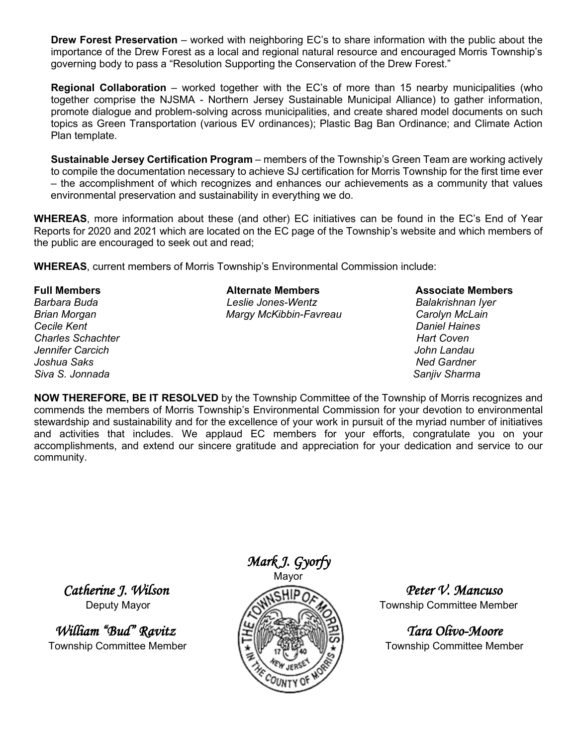**Drew Forest Preservation** – worked with neighboring EC's to share information with the public about the importance of the Drew Forest as a local and regional natural resource and encouraged Morris Township's governing body to pass a "Resolution Supporting the Conservation of the Drew Forest."

**Regional Collaboration** – worked together with the EC's of more than 15 nearby municipalities (who together comprise the NJSMA - Northern Jersey Sustainable Municipal Alliance) to gather information, promote dialogue and problem-solving across municipalities, and create shared model documents on such topics as Green Transportation (various EV ordinances); Plastic Bag Ban Ordinance; and Climate Action Plan template.

**Sustainable Jersey Certification Program** – members of the Township's Green Team are working actively to compile the documentation necessary to achieve SJ certification for Morris Township for the first time ever – the accomplishment of which recognizes and enhances our achievements as a community that values environmental preservation and sustainability in everything we do.

**WHEREAS**, more information about these (and other) EC initiatives can be found in the EC's End of Year Reports for 2020 and 2021 which are located on the EC page of the Township's website and which members of the public are encouraged to seek out and read;

**WHEREAS**, current members of Morris Township's Environmental Commission include:

*Brian Morgan Margy McKibbin-Favreau Carolyn McLain Charles Schachter Jennifer Carcich John Landau Joshua Saks Ned Gardner Siva S. Jonnada Sanjiv Sharma*

## **Full Members Alternate Members Associate Members** *Barbara Buda Leslie Jones-Wentz Balakrishnan Iyer*

*Cecile Kent Daniel Haines*

**NOW THEREFORE, BE IT RESOLVED** by the Township Committee of the Township of Morris recognizes and commends the members of Morris Township's Environmental Commission for your devotion to environmental stewardship and sustainability and for the excellence of your work in pursuit of the myriad number of initiatives and activities that includes. We applaud EC members for your efforts, congratulate you on your accomplishments, and extend our sincere gratitude and appreciation for your dedication and service to our community.

Township Committee Member  $\mathbb{F} \setminus \mathbb{F} \setminus \mathbb{F}$   $\mathbb{F} \setminus \mathbb{F}$  Township Committee Member



 *Catherine J. Wilson Peter V. Mancuso*  Deputy Mayor **Township Committee Member**